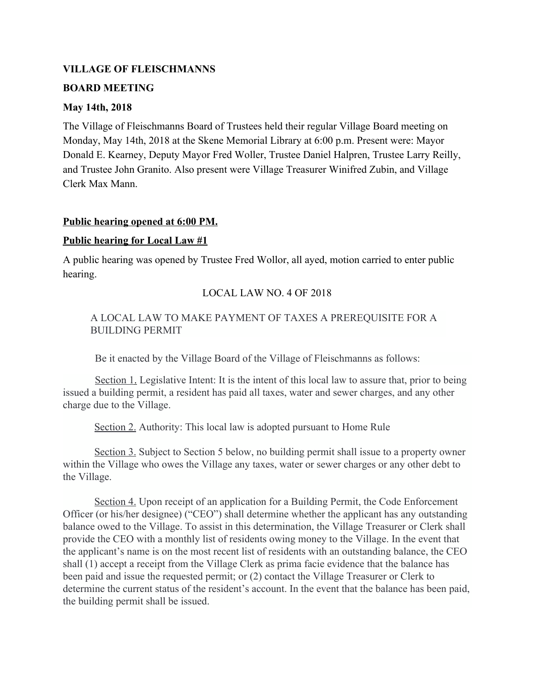#### **VILLAGE OF FLEISCHMANNS**

#### **BOARD MEETING**

#### **May 14th, 2018**

The Village of Fleischmanns Board of Trustees held their regular Village Board meeting on Monday, May 14th, 2018 at the Skene Memorial Library at 6:00 p.m. Present were: Mayor Donald E. Kearney, Deputy Mayor Fred Woller, Trustee Daniel Halpren, Trustee Larry Reilly, and Trustee John Granito. Also present were Village Treasurer Winifred Zubin, and Village Clerk Max Mann.

#### **Public hearing opened at 6:00 PM.**

#### **Public hearing for Local Law #1**

A public hearing was opened by Trustee Fred Wollor, all ayed, motion carried to enter public hearing.

## LOCAL LAW NO. 4 OF 2018

# A LOCAL LAW TO MAKE PAYMENT OF TAXES A PREREQUISITE FOR A BUILDING PERMIT

Be it enacted by the Village Board of the Village of Fleischmanns as follows:

Section 1. Legislative Intent: It is the intent of this local law to assure that, prior to being issued a building permit, a resident has paid all taxes, water and sewer charges, and any other charge due to the Village.

Section 2. Authority: This local law is adopted pursuant to Home Rule

Section 3. Subject to Section 5 below, no building permit shall issue to a property owner within the Village who owes the Village any taxes, water or sewer charges or any other debt to the Village.

Section 4. Upon receipt of an application for a Building Permit, the Code Enforcement Officer (or his/her designee) ("CEO") shall determine whether the applicant has any outstanding balance owed to the Village. To assist in this determination, the Village Treasurer or Clerk shall provide the CEO with a monthly list of residents owing money to the Village. In the event that the applicant's name is on the most recent list of residents with an outstanding balance, the CEO shall (1) accept a receipt from the Village Clerk as prima facie evidence that the balance has been paid and issue the requested permit; or (2) contact the Village Treasurer or Clerk to determine the current status of the resident's account. In the event that the balance has been paid, the building permit shall be issued.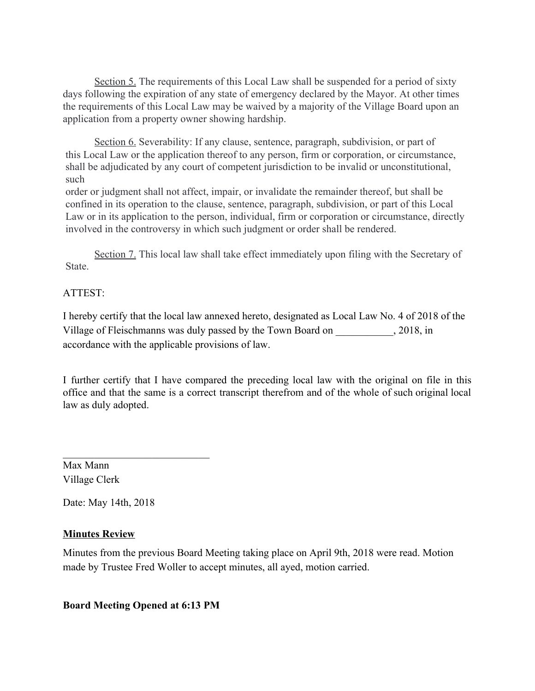Section 5. The requirements of this Local Law shall be suspended for a period of sixty days following the expiration of any state of emergency declared by the Mayor. At other times the requirements of this Local Law may be waived by a majority of the Village Board upon an application from a property owner showing hardship.

Section 6. Severability: If any clause, sentence, paragraph, subdivision, or part of this Local Law or the application thereof to any person, firm or corporation, or circumstance, shall be adjudicated by any court of competent jurisdiction to be invalid or unconstitutional, such

order or judgment shall not affect, impair, or invalidate the remainder thereof, but shall be confined in its operation to the clause, sentence, paragraph, subdivision, or part of this Local Law or in its application to the person, individual, firm or corporation or circumstance, directly involved in the controversy in which such judgment or order shall be rendered.

Section 7. This local law shall take effect immediately upon filing with the Secretary of State.

# ATTEST:

I hereby certify that the local law annexed hereto, designated as Local Law No. 4 of 2018 of the Village of Fleischmanns was duly passed by the Town Board on \_\_\_\_\_\_\_\_\_\_\_, 2018, in accordance with the applicable provisions of law.

I further certify that I have compared the preceding local law with the original on file in this office and that the same is a correct transcript therefrom and of the whole of such original local law as duly adopted.

Max Mann Village Clerk

Date: May 14th, 2018

# **Minutes Review**

Minutes from the previous Board Meeting taking place on April 9th, 2018 were read. Motion made by Trustee Fred Woller to accept minutes, all ayed, motion carried.

## **Board Meeting Opened at 6:13 PM**

 $\mathcal{L}_\text{max}$  , where  $\mathcal{L}_\text{max}$  , we have the set of  $\mathcal{L}_\text{max}$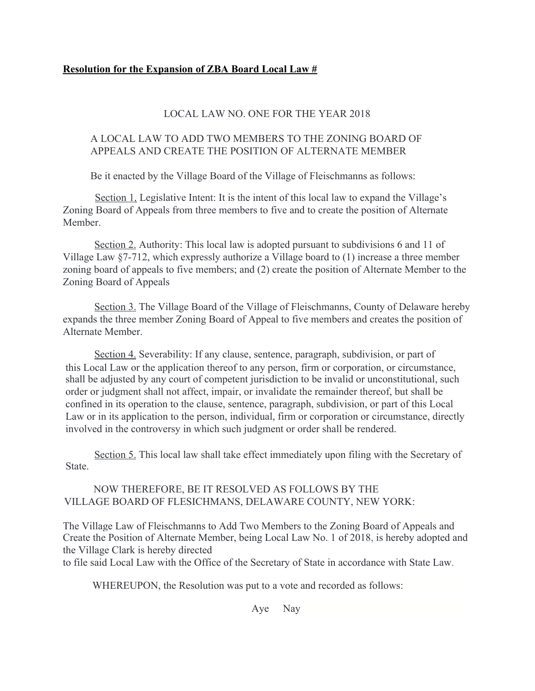## LOCAL LAW NO. ONE FOR THE YEAR 2018

## A LOCAL LAW TO ADD TWO MEMBERS TO THE ZONING BOARD OF APPEALS AND CREATE THE POSITION OF ALTERNATE MEMBER

Be it enacted by the Village Board of the Village of Fleischmanns as follows:

Section 1. Legislative Intent: It is the intent of this local law to expand the Village's Zoning Board of Appeals from three members to five and to create the position of Alternate **Member** 

Section 2. Authority: This local law is adopted pursuant to subdivisions 6 and 11 of Village Law §7-712, which expressly authorize a Village board to (1) increase a three member zoning board of appeals to five members; and (2) create the position of Alternate Member to the Zoning Board of Appeals

Section 3. The Village Board of the Village of Fleischmanns, County of Delaware hereby expands the three member Zoning Board of Appeal to five members and creates the position of Alternate Member.

Section 4. Severability: If any clause, sentence, paragraph, subdivision, or part of this Local Law or the application thereof to any person, firm or corporation, or circumstance, shall be adjusted by any court of competent jurisdiction to be invalid or unconstitutional, such order or judgment shall not affect, impair, or invalidate the remainder thereof, but shall be confined in its operation to the clause, sentence, paragraph, subdivision, or part of this Local Law or in its application to the person, individual, firm or corporation or circumstance, directly involved in the controversy in which such judgment or order shall be rendered.

Section 5. This local law shall take effect immediately upon filing with the Secretary of State.

NOW THEREFORE, BE IT RESOLVED AS FOLLOWS BY THE VILLAGE BOARD OF FLESICHMANS, DELAWARE COUNTY, NEW YORK:

The Village Law of Fleischmanns to Add Two Members to the Zoning Board of Appeals and Create the Position of Alternate Member, being Local Law No. 1 of 2018, is hereby adopted and the Village Clark is hereby directed

to file said Local Law with the Office of the Secretary of State in accordance with State Law.

WHEREUPON, the Resolution was put to a vote and recorded as follows:

Aye Nay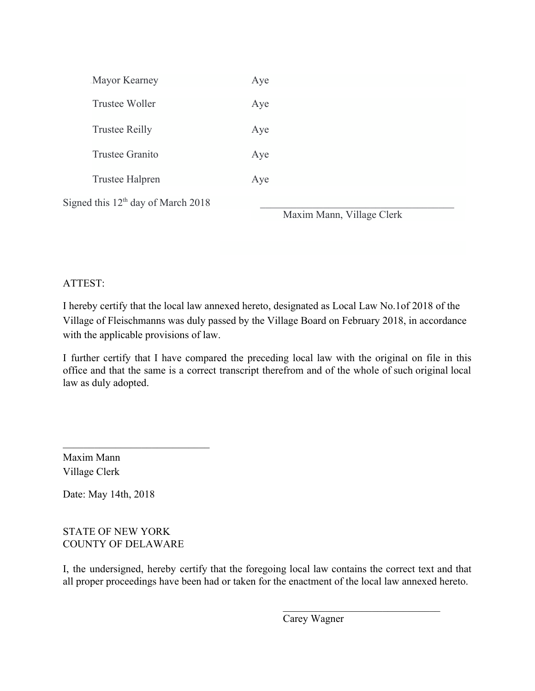| Mayor Kearney                                  | Aye                       |
|------------------------------------------------|---------------------------|
| Trustee Woller                                 | Aye                       |
| <b>Trustee Reilly</b>                          | Aye                       |
| Trustee Granito                                | Aye                       |
| Trustee Halpren                                | Aye                       |
| Signed this 12 <sup>th</sup> day of March 2018 | Maxim Mann, Village Clerk |

# ATTEST:

I hereby certify that the local law annexed hereto, designated as Local Law No.1of 2018 of the Village of Fleischmanns was duly passed by the Village Board on February 2018, in accordance with the applicable provisions of law.

I further certify that I have compared the preceding local law with the original on file in this office and that the same is a correct transcript therefrom and of the whole of such original local law as duly adopted.

Maxim Mann Village Clerk

Date: May 14th, 2018

# STATE OF NEW YORK COUNTY OF DELAWARE

 $\mathcal{L}_\text{max}$  , where  $\mathcal{L}_\text{max}$  , we have the set of  $\mathcal{L}_\text{max}$ 

I, the undersigned, hereby certify that the foregoing local law contains the correct text and that all proper proceedings have been had or taken for the enactment of the local law annexed hereto.

Carey Wagner

 $\mathcal{L}_\text{max}$  , where  $\mathcal{L}_\text{max}$  and  $\mathcal{L}_\text{max}$  and  $\mathcal{L}_\text{max}$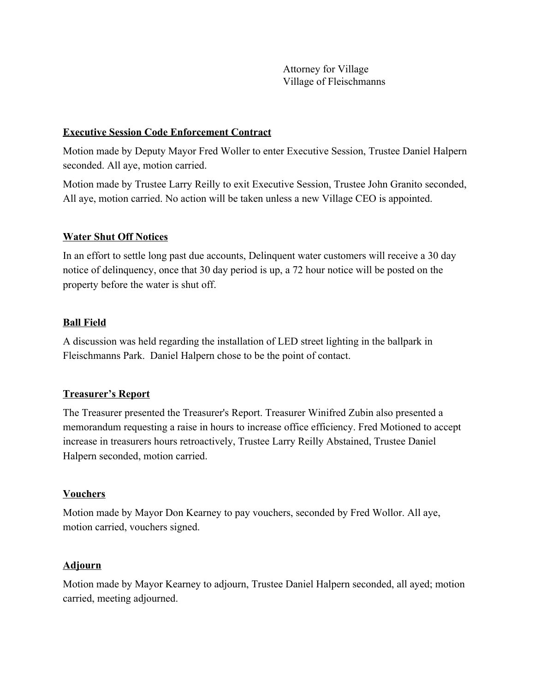Attorney for Village Village of Fleischmanns

## **Executive Session Code Enforcement Contract**

Motion made by Deputy Mayor Fred Woller to enter Executive Session, Trustee Daniel Halpern seconded. All aye, motion carried.

Motion made by Trustee Larry Reilly to exit Executive Session, Trustee John Granito seconded, All aye, motion carried. No action will be taken unless a new Village CEO is appointed.

# **Water Shut Off Notices**

In an effort to settle long past due accounts, Delinquent water customers will receive a 30 day notice of delinquency, once that 30 day period is up, a 72 hour notice will be posted on the property before the water is shut off.

# **Ball Field**

A discussion was held regarding the installation of LED street lighting in the ballpark in Fleischmanns Park. Daniel Halpern chose to be the point of contact.

## **Treasurer's Report**

The Treasurer presented the Treasurer's Report. Treasurer Winifred Zubin also presented a memorandum requesting a raise in hours to increase office efficiency. Fred Motioned to accept increase in treasurers hours retroactively, Trustee Larry Reilly Abstained, Trustee Daniel Halpern seconded, motion carried.

## **Vouchers**

Motion made by Mayor Don Kearney to pay vouchers, seconded by Fred Wollor. All aye, motion carried, vouchers signed.

## **Adjourn**

Motion made by Mayor Kearney to adjourn, Trustee Daniel Halpern seconded, all ayed; motion carried, meeting adjourned.